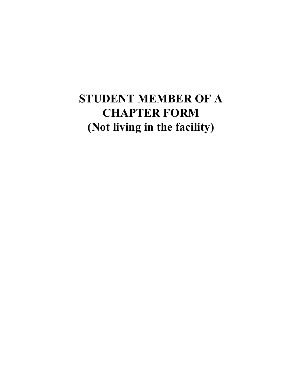## **STUDENT MEMBER OF A CHAPTER FORM (Not living in the facility)**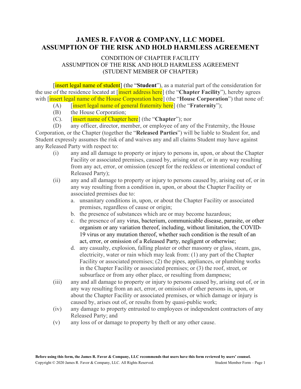## **JAMES R. FAVOR & COMPANY, LLC MODEL ASSUMPTION OF THE RISK AND HOLD HARMLESS AGREEMENT**

## CONDITION OF CHAPTER FACILITY ASSUMPTION OF THE RISK AND HOLD HARMLESS AGREEMENT (STUDENT MEMBER OF CHAPTER)

[insert legal name of student] (the "Student"), as a material part of the consideration for the use of the residence located at [insert address here] (the "**Chapter Facility**"), hereby agrees with [insert legal name of the House Corporation here] (the "**House Corporation**") that none of:

- (A) [insert legal name of general fraternity here] (the "**Fraternity**");
- (B) the House Corporation;
- (C). [insert name of Chapter here] (the "**Chapter**"); nor

(D) any officer, director, member, or employee of any of the Fraternity, the House Corporation, or the Chapter (together the "**Released Parties**") will be liable to Student for, and Student expressly assumes the risk of and waives any and all claims Student may have against any Released Party with respect to:

- (i) any and all damage to property or injury to persons in, upon, or about the Chapter Facility or associated premises, caused by, arising out of, or in any way resulting from any act, error, or omission (except for the reckless or intentional conduct of Released Party);
- (ii) any and all damage to property or injury to persons caused by, arising out of, or in any way resulting from a condition in, upon, or about the Chapter Facility or associated premises due to:
	- a. unsanitary conditions in, upon, or about the Chapter Facility or associated premises, regardless of cause or origin;
	- b. the presence of substances which are or may become hazardous;
	- c. the presence of any virus, bacterium, communicable disease, parasite, or other organism or any variation thereof, including, without limitation, the COVID-19 virus or any mutation thereof, whether such condition is the result of an act, error, or omission of a Released Party, negligent or otherwise;
	- d. any casualty, explosion, falling plaster or other masonry or glass, steam, gas, electricity, water or rain which may leak from: (1) any part of the Chapter Facility or associated premises; (2) the pipes, appliances, or plumbing works in the Chapter Facility or associated premises; or (3) the roof, street, or subsurface or from any other place, or resulting from dampness;
- (iii) any and all damage to property or injury to persons caused by, arising out of, or in any way resulting from an act, error, or omission of other persons in, upon, or about the Chapter Facility or associated premises, or which damage or injury is caused by, arises out of, or results from by quasi-public work;
- (iv) any damage to property entrusted to employees or independent contractors of any Released Party; and
- (v) any loss of or damage to property by theft or any other cause.